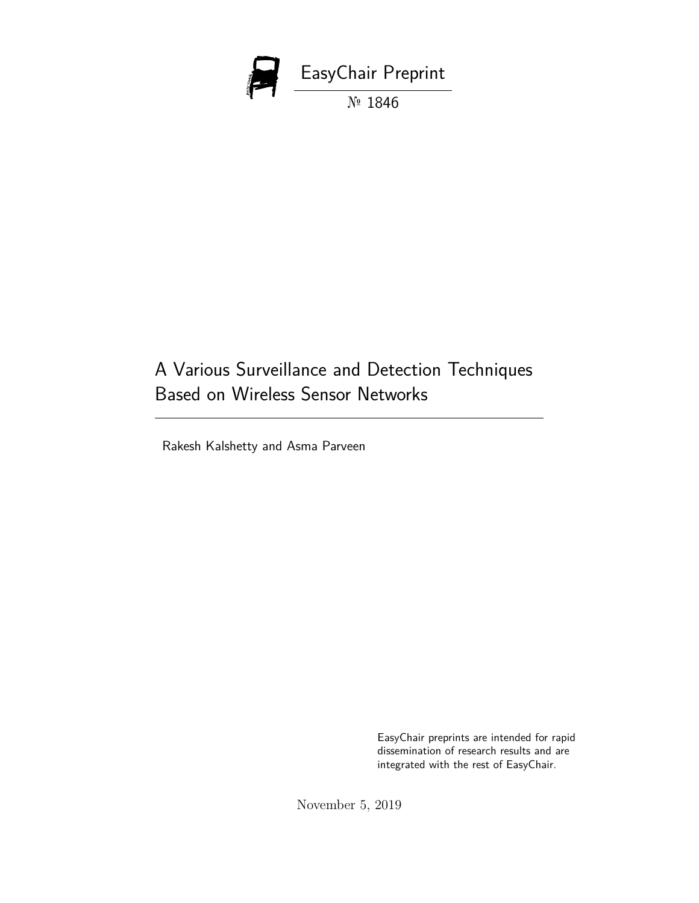

## A Various Surveillance and Detection Techniques Based on Wireless Sensor Networks

Rakesh Kalshetty and Asma Parveen

EasyChair preprints are intended for rapid dissemination of research results and are integrated with the rest of EasyChair.

November 5, 2019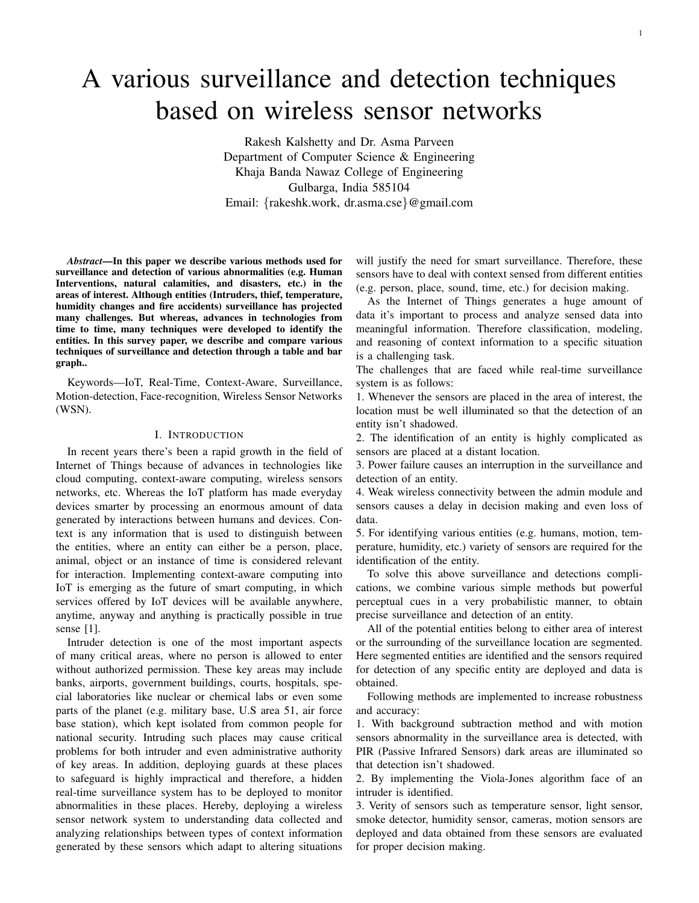# A various surveillance and detection techniques based on wireless sensor networks

Rakesh Kalshetty and Dr. Asma Parveen Department of Computer Science & Engineering Khaja Banda Nawaz College of Engineering Gulbarga, India 585104 Email: {rakeshk.work, dr.asma.cse}@gmail.com

*Abstract*—In this paper we describe various methods used for surveillance and detection of various abnormalities (e.g. Human Interventions, natural calamities, and disasters, etc.) in the areas of interest. Although entities (Intruders, thief, temperature, humidity changes and fire accidents) surveillance has projected many challenges. But whereas, advances in technologies from time to time, many techniques were developed to identify the entities. In this survey paper, we describe and compare various techniques of surveillance and detection through a table and bar graph..

Keywords—IoT, Real-Time, Context-Aware, Surveillance, Motion-detection, Face-recognition, Wireless Sensor Networks (WSN).

### I. INTRODUCTION

In recent years there's been a rapid growth in the field of Internet of Things because of advances in technologies like cloud computing, context-aware computing, wireless sensors networks, etc. Whereas the IoT platform has made everyday devices smarter by processing an enormous amount of data generated by interactions between humans and devices. Context is any information that is used to distinguish between the entities, where an entity can either be a person, place, animal, object or an instance of time is considered relevant for interaction. Implementing context-aware computing into IoT is emerging as the future of smart computing, in which services offered by IoT devices will be available anywhere, anytime, anyway and anything is practically possible in true sense [1].

Intruder detection is one of the most important aspects of many critical areas, where no person is allowed to enter without authorized permission. These key areas may include banks, airports, government buildings, courts, hospitals, special laboratories like nuclear or chemical labs or even some parts of the planet (e.g. military base, U.S area 51, air force base station), which kept isolated from common people for national security. Intruding such places may cause critical problems for both intruder and even administrative authority of key areas. In addition, deploying guards at these places to safeguard is highly impractical and therefore, a hidden real-time surveillance system has to be deployed to monitor abnormalities in these places. Hereby, deploying a wireless sensor network system to understanding data collected and analyzing relationships between types of context information generated by these sensors which adapt to altering situations

will justify the need for smart surveillance. Therefore, these sensors have to deal with context sensed from different entities (e.g. person, place, sound, time, etc.) for decision making.

As the Internet of Things generates a huge amount of data it's important to process and analyze sensed data into meaningful information. Therefore classification, modeling, and reasoning of context information to a specific situation is a challenging task.

The challenges that are faced while real-time surveillance system is as follows:

1. Whenever the sensors are placed in the area of interest, the location must be well illuminated so that the detection of an entity isn't shadowed.

2. The identification of an entity is highly complicated as sensors are placed at a distant location.

3. Power failure causes an interruption in the surveillance and detection of an entity.

4. Weak wireless connectivity between the admin module and sensors causes a delay in decision making and even loss of data.

5. For identifying various entities (e.g. humans, motion, temperature, humidity, etc.) variety of sensors are required for the identification of the entity.

To solve this above surveillance and detections complications, we combine various simple methods but powerful perceptual cues in a very probabilistic manner, to obtain precise surveillance and detection of an entity.

All of the potential entities belong to either area of interest or the surrounding of the surveillance location are segmented. Here segmented entities are identified and the sensors required for detection of any specific entity are deployed and data is obtained.

Following methods are implemented to increase robustness and accuracy:

1. With background subtraction method and with motion sensors abnormality in the surveillance area is detected, with PIR (Passive Infrared Sensors) dark areas are illuminated so that detection isn't shadowed.

2. By implementing the Viola-Jones algorithm face of an intruder is identified.

3. Verity of sensors such as temperature sensor, light sensor, smoke detector, humidity sensor, cameras, motion sensors are deployed and data obtained from these sensors are evaluated for proper decision making.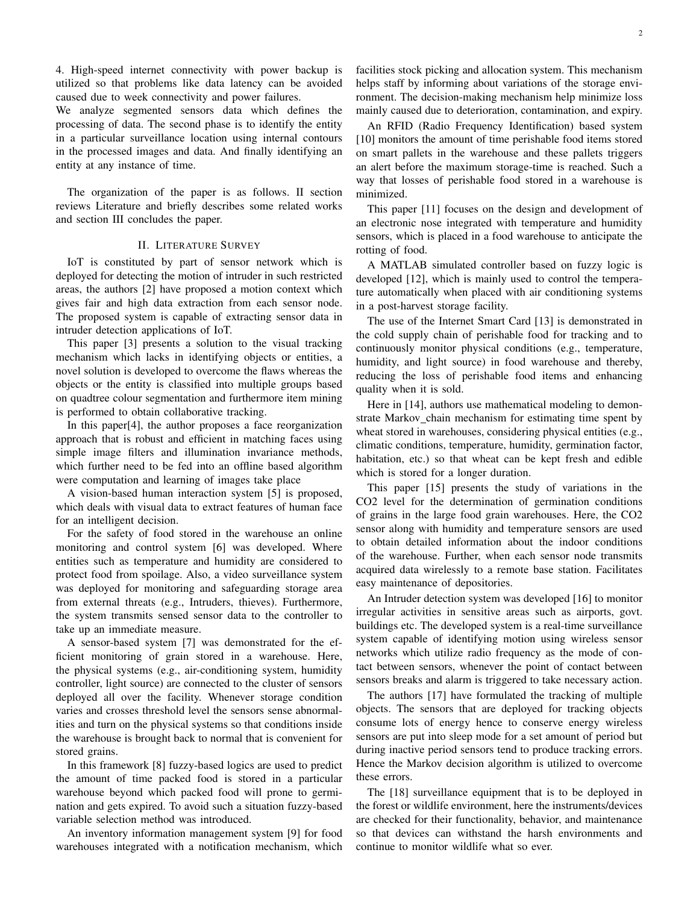4. High-speed internet connectivity with power backup is utilized so that problems like data latency can be avoided caused due to week connectivity and power failures.

We analyze segmented sensors data which defines the processing of data. The second phase is to identify the entity in a particular surveillance location using internal contours in the processed images and data. And finally identifying an entity at any instance of time.

The organization of the paper is as follows. II section reviews Literature and briefly describes some related works and section III concludes the paper.

#### II. LITERATURE SURVEY

IoT is constituted by part of sensor network which is deployed for detecting the motion of intruder in such restricted areas, the authors [2] have proposed a motion context which gives fair and high data extraction from each sensor node. The proposed system is capable of extracting sensor data in intruder detection applications of IoT.

This paper [3] presents a solution to the visual tracking mechanism which lacks in identifying objects or entities, a novel solution is developed to overcome the flaws whereas the objects or the entity is classified into multiple groups based on quadtree colour segmentation and furthermore item mining is performed to obtain collaborative tracking.

In this paper[4], the author proposes a face reorganization approach that is robust and efficient in matching faces using simple image filters and illumination invariance methods, which further need to be fed into an offline based algorithm were computation and learning of images take place

A vision-based human interaction system [5] is proposed, which deals with visual data to extract features of human face for an intelligent decision.

For the safety of food stored in the warehouse an online monitoring and control system [6] was developed. Where entities such as temperature and humidity are considered to protect food from spoilage. Also, a video surveillance system was deployed for monitoring and safeguarding storage area from external threats (e.g., Intruders, thieves). Furthermore, the system transmits sensed sensor data to the controller to take up an immediate measure.

A sensor-based system [7] was demonstrated for the efficient monitoring of grain stored in a warehouse. Here, the physical systems (e.g., air-conditioning system, humidity controller, light source) are connected to the cluster of sensors deployed all over the facility. Whenever storage condition varies and crosses threshold level the sensors sense abnormalities and turn on the physical systems so that conditions inside the warehouse is brought back to normal that is convenient for stored grains.

In this framework [8] fuzzy-based logics are used to predict the amount of time packed food is stored in a particular warehouse beyond which packed food will prone to germination and gets expired. To avoid such a situation fuzzy-based variable selection method was introduced.

An inventory information management system [9] for food warehouses integrated with a notification mechanism, which

facilities stock picking and allocation system. This mechanism helps staff by informing about variations of the storage environment. The decision-making mechanism help minimize loss mainly caused due to deterioration, contamination, and expiry.

An RFID (Radio Frequency Identification) based system [10] monitors the amount of time perishable food items stored on smart pallets in the warehouse and these pallets triggers an alert before the maximum storage-time is reached. Such a way that losses of perishable food stored in a warehouse is minimized.

This paper [11] focuses on the design and development of an electronic nose integrated with temperature and humidity sensors, which is placed in a food warehouse to anticipate the rotting of food.

A MATLAB simulated controller based on fuzzy logic is developed [12], which is mainly used to control the temperature automatically when placed with air conditioning systems in a post-harvest storage facility.

The use of the Internet Smart Card [13] is demonstrated in the cold supply chain of perishable food for tracking and to continuously monitor physical conditions (e.g., temperature, humidity, and light source) in food warehouse and thereby, reducing the loss of perishable food items and enhancing quality when it is sold.

Here in [14], authors use mathematical modeling to demonstrate Markov chain mechanism for estimating time spent by wheat stored in warehouses, considering physical entities (e.g., climatic conditions, temperature, humidity, germination factor, habitation, etc.) so that wheat can be kept fresh and edible which is stored for a longer duration.

This paper [15] presents the study of variations in the CO2 level for the determination of germination conditions of grains in the large food grain warehouses. Here, the CO2 sensor along with humidity and temperature sensors are used to obtain detailed information about the indoor conditions of the warehouse. Further, when each sensor node transmits acquired data wirelessly to a remote base station. Facilitates easy maintenance of depositories.

An Intruder detection system was developed [16] to monitor irregular activities in sensitive areas such as airports, govt. buildings etc. The developed system is a real-time surveillance system capable of identifying motion using wireless sensor networks which utilize radio frequency as the mode of contact between sensors, whenever the point of contact between sensors breaks and alarm is triggered to take necessary action.

The authors [17] have formulated the tracking of multiple objects. The sensors that are deployed for tracking objects consume lots of energy hence to conserve energy wireless sensors are put into sleep mode for a set amount of period but during inactive period sensors tend to produce tracking errors. Hence the Markov decision algorithm is utilized to overcome these errors.

The [18] surveillance equipment that is to be deployed in the forest or wildlife environment, here the instruments/devices are checked for their functionality, behavior, and maintenance so that devices can withstand the harsh environments and continue to monitor wildlife what so ever.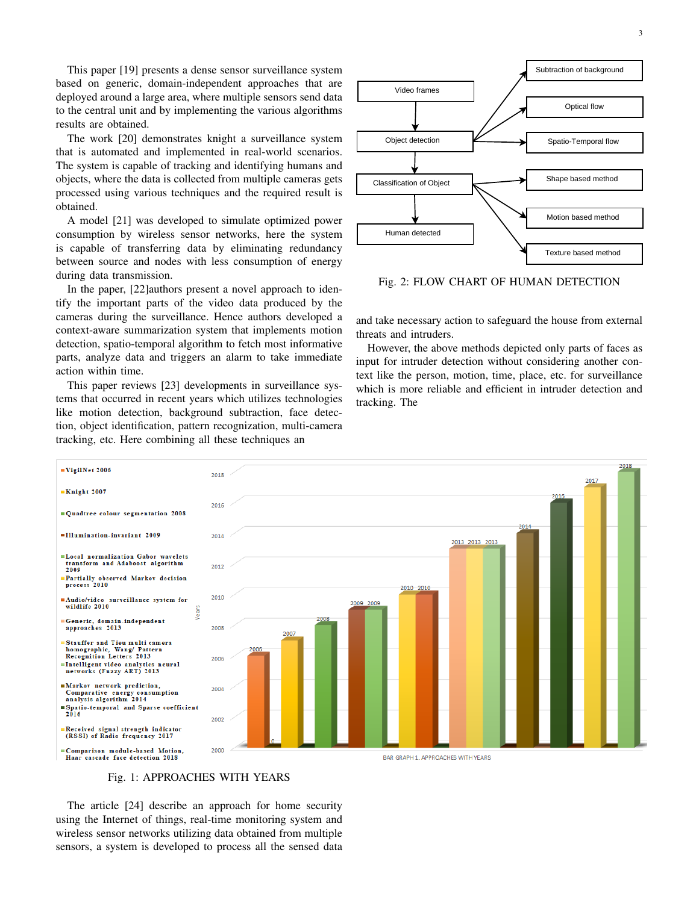This paper [19] presents a dense sensor surveillance system based on generic, domain-independent approaches that are deployed around a large area, where multiple sensors send data to the central unit and by implementing the various algorithms results are obtained.

The work [20] demonstrates knight a surveillance system that is automated and implemented in real-world scenarios. The system is capable of tracking and identifying humans and objects, where the data is collected from multiple cameras gets processed using various techniques and the required result is obtained.

A model [21] was developed to simulate optimized power consumption by wireless sensor networks, here the system is capable of transferring data by eliminating redundancy between source and nodes with less consumption of energy during data transmission.

In the paper, [22]authors present a novel approach to identify the important parts of the video data produced by the cameras during the surveillance. Hence authors developed a context-aware summarization system that implements motion detection, spatio-temporal algorithm to fetch most informative parts, analyze data and triggers an alarm to take immediate action within time.

This paper reviews [23] developments in surveillance systems that occurred in recent years which utilizes technologies like motion detection, background subtraction, face detection, object identification, pattern recognization, multi-camera tracking, etc. Here combining all these techniques an



Fig. 2: FLOW CHART OF HUMAN DETECTION

and take necessary action to safeguard the house from external threats and intruders.

However, the above methods depicted only parts of faces as input for intruder detection without considering another context like the person, motion, time, place, etc. for surveillance which is more reliable and efficient in intruder detection and tracking. The



## Fig. 1: APPROACHES WITH YEARS

The article [24] describe an approach for home security using the Internet of things, real-time monitoring system and wireless sensor networks utilizing data obtained from multiple sensors, a system is developed to process all the sensed data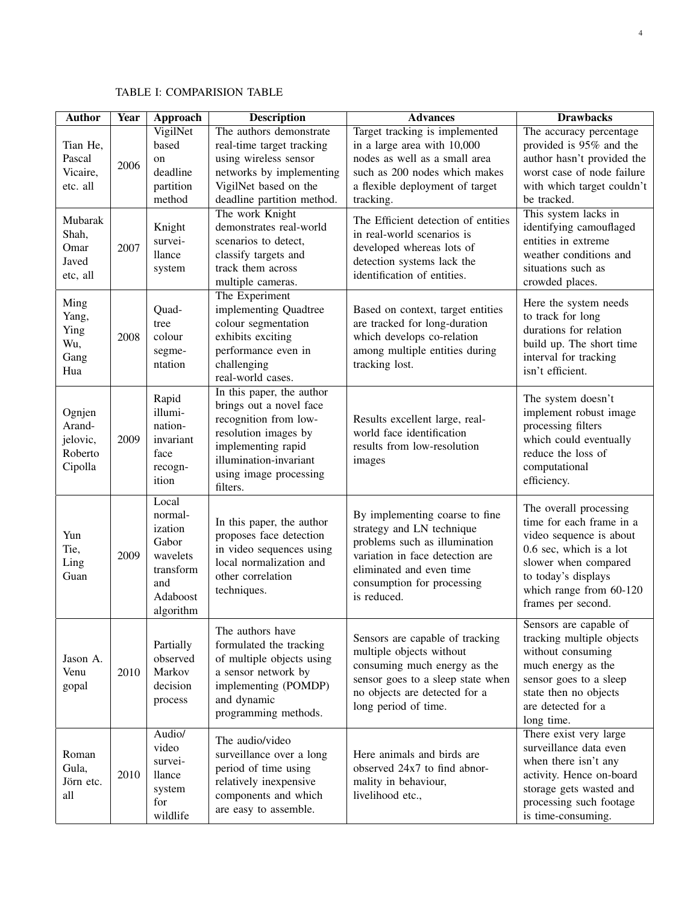## TABLE I: COMPARISION TABLE

| <b>Author</b>                                      | <b>Year</b> | Approach                                                                                      | <b>Description</b>                                                                                                                                                                          | <b>Advances</b>                                                                                                                                                                                          | <b>Drawbacks</b>                                                                                                                                                                                         |
|----------------------------------------------------|-------------|-----------------------------------------------------------------------------------------------|---------------------------------------------------------------------------------------------------------------------------------------------------------------------------------------------|----------------------------------------------------------------------------------------------------------------------------------------------------------------------------------------------------------|----------------------------------------------------------------------------------------------------------------------------------------------------------------------------------------------------------|
| Tian He.<br>Pascal<br>Vicaire,<br>etc. all         | 2006        | VigilNet<br>based<br>on<br>deadline<br>partition<br>method                                    | The authors demonstrate<br>real-time target tracking<br>using wireless sensor<br>networks by implementing<br>VigilNet based on the<br>deadline partition method.                            | Target tracking is implemented<br>in a large area with 10,000<br>nodes as well as a small area<br>such as 200 nodes which makes<br>a flexible deployment of target<br>tracking.                          | The accuracy percentage<br>provided is 95% and the<br>author hasn't provided the<br>worst case of node failure<br>with which target couldn't<br>be tracked.                                              |
| Mubarak<br>Shah,<br>Omar<br>Javed<br>etc, all      | 2007        | Knight<br>survei-<br>llance<br>system                                                         | The work Knight<br>demonstrates real-world<br>scenarios to detect,<br>classify targets and<br>track them across<br>multiple cameras.                                                        | The Efficient detection of entities<br>in real-world scenarios is<br>developed whereas lots of<br>detection systems lack the<br>identification of entities.                                              | This system lacks in<br>identifying camouflaged<br>entities in extreme<br>weather conditions and<br>situations such as<br>crowded places.                                                                |
| Ming<br>Yang,<br>Ying<br>Wu,<br>Gang<br>Hua        | 2008        | Quad-<br>tree<br>colour<br>segme-<br>ntation                                                  | The Experiment<br>implementing Quadtree<br>colour segmentation<br>exhibits exciting<br>performance even in<br>challenging<br>real-world cases.                                              | Based on context, target entities<br>are tracked for long-duration<br>which develops co-relation<br>among multiple entities during<br>tracking lost.                                                     | Here the system needs<br>to track for long<br>durations for relation<br>build up. The short time<br>interval for tracking<br>isn't efficient.                                                            |
| Ognjen<br>Arand-<br>jelovic,<br>Roberto<br>Cipolla | 2009        | Rapid<br>illumi-<br>nation-<br>invariant<br>face<br>recogn-<br>ition                          | In this paper, the author<br>brings out a novel face<br>recognition from low-<br>resolution images by<br>implementing rapid<br>illumination-invariant<br>using image processing<br>filters. | Results excellent large, real-<br>world face identification<br>results from low-resolution<br>images                                                                                                     | The system doesn't<br>implement robust image<br>processing filters<br>which could eventually<br>reduce the loss of<br>computational<br>efficiency.                                                       |
| Yun<br>Tie,<br>Ling<br>Guan                        | 2009        | Local<br>normal-<br>ization<br>Gabor<br>wavelets<br>transform<br>and<br>Adaboost<br>algorithm | In this paper, the author<br>proposes face detection<br>in video sequences using<br>local normalization and<br>other correlation<br>techniques.                                             | By implementing coarse to fine<br>strategy and LN technique<br>problems such as illumination<br>variation in face detection are<br>eliminated and even time<br>consumption for processing<br>is reduced. | The overall processing<br>time for each frame in a<br>video sequence is about<br>0.6 sec, which is a lot<br>slower when compared<br>to today's displays<br>which range from 60-120<br>frames per second. |
| Jason A.<br>Venu<br>gopal                          | 2010        | Partially<br>observed<br>Markov<br>decision<br>process                                        | The authors have<br>formulated the tracking<br>of multiple objects using<br>a sensor network by<br>implementing (POMDP)<br>and dynamic<br>programming methods.                              | Sensors are capable of tracking<br>multiple objects without<br>consuming much energy as the<br>sensor goes to a sleep state when<br>no objects are detected for a<br>long period of time.                | Sensors are capable of<br>tracking multiple objects<br>without consuming<br>much energy as the<br>sensor goes to a sleep<br>state then no objects<br>are detected for a<br>long time.                    |
| Roman<br>Gula,<br>Jörn etc.<br>all                 | 2010        | Audio/<br>video<br>survei-<br>llance<br>system<br>for<br>wildlife                             | The audio/video<br>surveillance over a long<br>period of time using<br>relatively inexpensive<br>components and which<br>are easy to assemble.                                              | Here animals and birds are<br>observed 24x7 to find abnor-<br>mality in behaviour,<br>livelihood etc.,                                                                                                   | There exist very large<br>surveillance data even<br>when there isn't any<br>activity. Hence on-board<br>storage gets wasted and<br>processing such footage<br>is time-consuming.                         |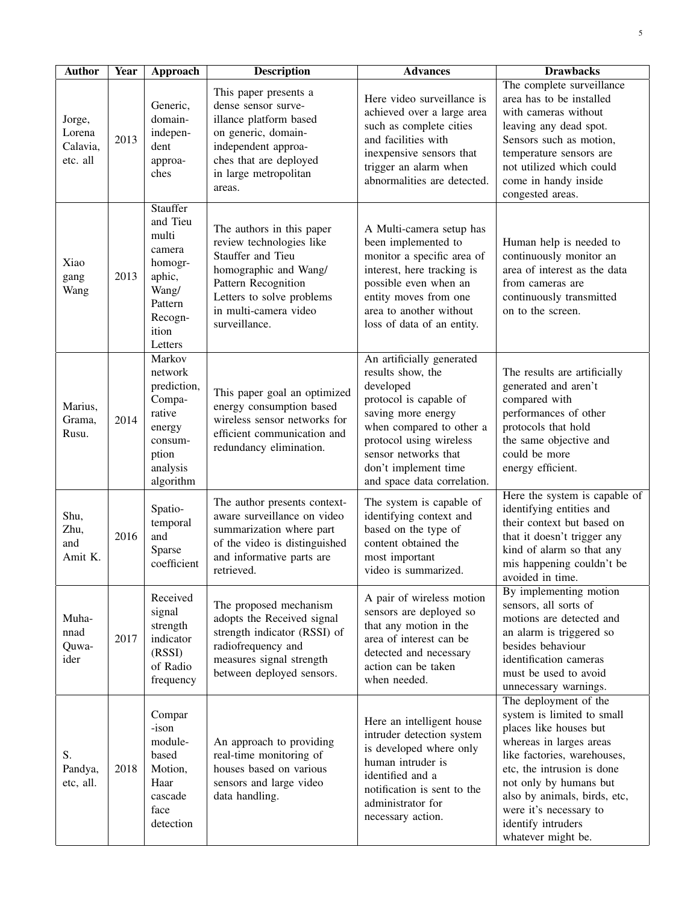| <b>Author</b>                            | <b>Year</b> | Approach                                                                                                        | <b>Description</b>                                                                                                                                                                                | <b>Advances</b>                                                                                                                                                                                                                                   | <b>Drawbacks</b>                                                                                                                                                                                                                                                                                      |
|------------------------------------------|-------------|-----------------------------------------------------------------------------------------------------------------|---------------------------------------------------------------------------------------------------------------------------------------------------------------------------------------------------|---------------------------------------------------------------------------------------------------------------------------------------------------------------------------------------------------------------------------------------------------|-------------------------------------------------------------------------------------------------------------------------------------------------------------------------------------------------------------------------------------------------------------------------------------------------------|
| Jorge,<br>Lorena<br>Calavia,<br>etc. all | 2013        | Generic,<br>domain-<br>indepen-<br>dent<br>approa-<br>ches                                                      | This paper presents a<br>dense sensor surve-<br>illance platform based<br>on generic, domain-<br>independent approa-<br>ches that are deployed<br>in large metropolitan<br>areas.                 | Here video surveillance is<br>achieved over a large area<br>such as complete cities<br>and facilities with<br>inexpensive sensors that<br>trigger an alarm when<br>abnormalities are detected.                                                    | The complete surveillance<br>area has to be installed<br>with cameras without<br>leaving any dead spot.<br>Sensors such as motion,<br>temperature sensors are<br>not utilized which could<br>come in handy inside<br>congested areas.                                                                 |
| Xiao<br>gang<br>Wang                     | 2013        | Stauffer<br>and Tieu<br>multi<br>camera<br>homogr-<br>aphic,<br>Wang/<br>Pattern<br>Recogn-<br>ition<br>Letters | The authors in this paper<br>review technologies like<br>Stauffer and Tieu<br>homographic and Wang/<br>Pattern Recognition<br>Letters to solve problems<br>in multi-camera video<br>surveillance. | A Multi-camera setup has<br>been implemented to<br>monitor a specific area of<br>interest, here tracking is<br>possible even when an<br>entity moves from one<br>area to another without<br>loss of data of an entity.                            | Human help is needed to<br>continuously monitor an<br>area of interest as the data<br>from cameras are<br>continuously transmitted<br>on to the screen.                                                                                                                                               |
| Marius,<br>Grama,<br>Rusu.               | 2014        | Markov<br>network<br>prediction,<br>Compa-<br>rative<br>energy<br>consum-<br>ption<br>analysis<br>algorithm     | This paper goal an optimized<br>energy consumption based<br>wireless sensor networks for<br>efficient communication and<br>redundancy elimination.                                                | An artificially generated<br>results show, the<br>developed<br>protocol is capable of<br>saving more energy<br>when compared to other a<br>protocol using wireless<br>sensor networks that<br>don't implement time<br>and space data correlation. | The results are artificially<br>generated and aren't<br>compared with<br>performances of other<br>protocols that hold<br>the same objective and<br>could be more<br>energy efficient.                                                                                                                 |
| Shu,<br>Zhu,<br>and<br>Amit K.           | 2016        | Spatio-<br>temporal<br>and<br>Sparse<br>coefficient                                                             | The author presents context-<br>aware surveillance on video<br>summarization where part<br>of the video is distinguished<br>and informative parts are<br>retrieved.                               | The system is capable of<br>identifying context and<br>based on the type of<br>content obtained the<br>most important<br>video is summarized.                                                                                                     | Here the system is capable of<br>identifying entities and<br>their context but based on<br>that it doesn't trigger any<br>kind of alarm so that any<br>mis happening couldn't be<br>avoided in time.                                                                                                  |
| Muha-<br>nnad<br>Quwa-<br>ider           | 2017        | Received<br>signal<br>strength<br>indicator<br>(RSSI)<br>of Radio<br>frequency                                  | The proposed mechanism<br>adopts the Received signal<br>strength indicator (RSSI) of<br>radiofrequency and<br>measures signal strength<br>between deployed sensors.                               | A pair of wireless motion<br>sensors are deployed so<br>that any motion in the<br>area of interest can be<br>detected and necessary<br>action can be taken<br>when needed.                                                                        | By implementing motion<br>sensors, all sorts of<br>motions are detected and<br>an alarm is triggered so<br>besides behaviour<br>identification cameras<br>must be used to avoid<br>unnecessary warnings.                                                                                              |
| S.<br>Pandya,<br>etc, all.               | 2018        | Compar<br>-ison<br>module-<br>based<br>Motion,<br>Haar<br>cascade<br>face<br>detection                          | An approach to providing<br>real-time monitoring of<br>houses based on various<br>sensors and large video<br>data handling.                                                                       | Here an intelligent house<br>intruder detection system<br>is developed where only<br>human intruder is<br>identified and a<br>notification is sent to the<br>administrator for<br>necessary action.                                               | The deployment of the<br>system is limited to small<br>places like houses but<br>whereas in larges areas<br>like factories, warehouses,<br>etc, the intrusion is done<br>not only by humans but<br>also by animals, birds, etc,<br>were it's necessary to<br>identify intruders<br>whatever might be. |